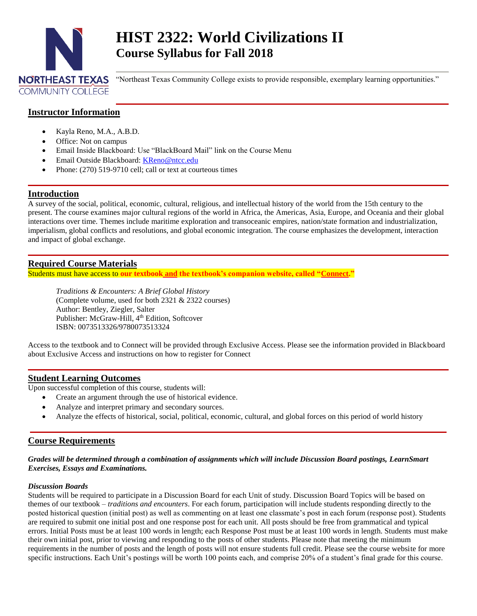

# **HIST 2322: World Civilizations II Course Syllabus for Fall 2018**

"Northeast Texas Community College exists to provide responsible, exemplary learning opportunities."

# **Instructor Information**

- Kayla Reno, M.A., A.B.D.
- Office: Not on campus
- Email Inside Blackboard: Use "BlackBoard Mail" link on the Course Menu
- Email Outside Blackboard: [KReno@ntcc.edu](mailto:KReno@ntcc.edu)
- Phone: (270) 519-9710 cell; call or text at courteous times

## **Introduction**

A survey of the social, political, economic, cultural, religious, and intellectual history of the world from the 15th century to the present. The course examines major cultural regions of the world in Africa, the Americas, Asia, Europe, and Oceania and their global interactions over time. Themes include maritime exploration and transoceanic empires, nation/state formation and industrialization, imperialism, global conflicts and resolutions, and global economic integration. The course emphasizes the development, interaction and impact of global exchange.

# **Required Course Materials**

Students must have access to **our textbook and the textbook's companion website, called "Connect."**

*Traditions & Encounters: A Brief Global History*  (Complete volume, used for both 2321 & 2322 courses) Author: Bentley, Ziegler, Salter Publisher: McGraw-Hill, 4<sup>th</sup> Edition, Softcover ISBN: 0073513326/9780073513324

Access to the textbook and to Connect will be provided through Exclusive Access. Please see the information provided in Blackboard about Exclusive Access and instructions on how to register for Connect

# **Student Learning Outcomes**

Upon successful completion of this course, students will:

- Create an argument through the use of historical evidence.
- Analyze and interpret primary and secondary sources.
- Analyze the effects of historical, social, political, economic, cultural, and global forces on this period of world history

# **Course Requirements**

#### *Grades will be determined through a combination of assignments which will include Discussion Board postings, LearnSmart Exercises, Essays and Examinations.*

#### *Discussion Boards*

Students will be required to participate in a Discussion Board for each Unit of study. Discussion Board Topics will be based on themes of our textbook – *traditions and encounters*. For each forum, participation will include students responding directly to the posted historical question (initial post) as well as commenting on at least one classmate's post in each forum (response post). Students are required to submit one initial post and one response post for each unit. All posts should be free from grammatical and typical errors. Initial Posts must be at least 100 words in length; each Response Post must be at least 100 words in length. Students must make their own initial post, prior to viewing and responding to the posts of other students. Please note that meeting the minimum requirements in the number of posts and the length of posts will not ensure students full credit. Please see the course website for more specific instructions. Each Unit's postings will be worth 100 points each, and comprise 20% of a student's final grade for this course.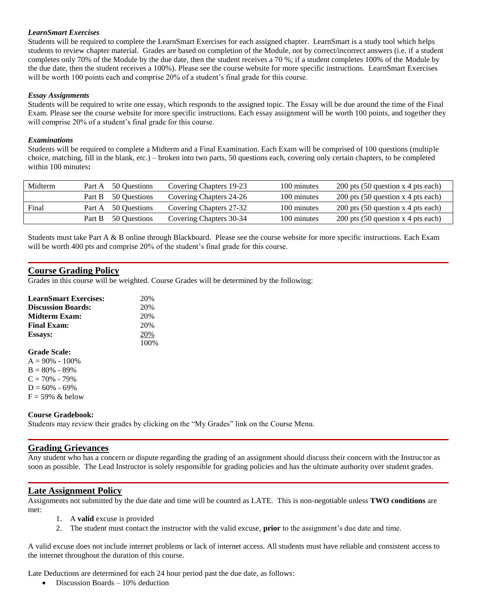## *LearnSmart Exercises*

Students will be required to complete the LearnSmart Exercises for each assigned chapter. LearnSmart is a study tool which helps students to review chapter material. Grades are based on completion of the Module, not by correct/incorrect answers (i.e. if a student completes only 70% of the Module by the due date, then the student receives a 70 %; if a student completes 100% of the Module by the due date, then the student receives a 100%). Please see the course website for more specific instructions. LearnSmart Exercises will be worth 100 points each and comprise 20% of a student's final grade for this course.

#### *Essay Assignments*

Students will be required to write one essay, which responds to the assigned topic. The Essay will be due around the time of the Final Exam. Please see the course website for more specific instructions. Each essay assignment will be worth 100 points, and together they will comprise 20% of a student's final grade for this course.

#### *Examinations*

Students will be required to complete a Midterm and a Final Examination. Each Exam will be comprised of 100 questions (multiple choice, matching, fill in the blank, etc.) – broken into two parts, 50 questions each, covering only certain chapters, to be completed within 100 minutes**:**

| Midterm | Part A 50 Ouestions | Covering Chapters 19-23 | 100 minutes | 200 pts (50 question x 4 pts each) |
|---------|---------------------|-------------------------|-------------|------------------------------------|
|         | Part B 50 Ouestions | Covering Chapters 24-26 | 100 minutes | 200 pts (50 question x 4 pts each) |
| Final   | Part A 50 Questions | Covering Chapters 27-32 | 100 minutes | 200 pts (50 question x 4 pts each) |
|         | Part B 50 Ouestions | Covering Chapters 30-34 | 100 minutes | 200 pts (50 question x 4 pts each) |

Students must take Part A & B online through Blackboard. Please see the course website for more specific instructions. Each Exam will be worth 400 pts and comprise 20% of the student's final grade for this course.

# **Course Grading Policy**

Grades in this course will be weighted. Course Grades will be determined by the following:

| <b>LearnSmart Exercises:</b> | 20%<br>20% |  |
|------------------------------|------------|--|
| <b>Discussion Boards:</b>    |            |  |
| Midterm Exam:                | 20%        |  |
| <b>Final Exam:</b>           | 20%        |  |
| <b>Essays:</b>               | 20%        |  |
|                              | 100%       |  |
| <b>Grade Scale:</b>          |            |  |
| $A = 90\% - 100\%$           |            |  |
| $B = 80\% - 89\%$            |            |  |
| $C = 70\% - 79\%$            |            |  |
| $D = 60\% - 69\%$            |            |  |
| $F = 59\%$ & below           |            |  |
|                              |            |  |

#### **Course Gradebook:**

Students may review their grades by clicking on the "My Grades" link on the Course Menu.

#### **Grading Grievances**

Any student who has a concern or dispute regarding the grading of an assignment should discuss their concern with the Instructor as soon as possible. The Lead Instructor is solely responsible for grading policies and has the ultimate authority over student grades.

## **Late Assignment Policy**

Assignments not submitted by the due date and time will be counted as LATE. This is non-negotiable unless **TWO conditions** are met:

- 1. A **valid** excuse is provided
- 2. The student must contact the instructor with the valid excuse, **prior** to the assignment's due date and time.

A valid excuse does not include internet problems or lack of internet access. All students must have reliable and consistent access to the internet throughout the duration of this course.

Late Deductions are determined for each 24 hour period past the due date, as follows:

• Discussion Boards – 10% deduction